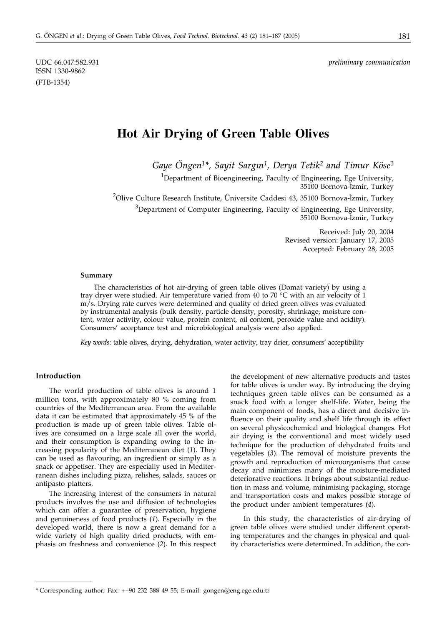ISSN 1330-9862 (FTB-1354)

UDC 66.047:582.931 *preliminary communication*

# **Hot Air Drying of Green Table Olives**

*Gaye Öngen1\*, Sayit Sargi* · *n1, Derya Tetik2 and Timur Köse3*

<sup>1</sup>Department of Bioengineering, Faculty of Engineering, Ege University, 35100 Bornova-I × zmir, Turkey <sup>2</sup>Olive Culture Research Institute, Üniversite Caddesi 43, 35100 Bornova-İzmir, Turkey  ${}^{3}$ Department of Computer Engineering, Faculty of Engineering, Ege University, 35100 Bornova-I × zmir, Turkey

> Received: July 20, 2004 Revised version: January 17, 2005 Accepted: February 28, 2005

#### **Summary**

The characteristics of hot air-drying of green table olives (Domat variety) by using a tray dryer were studied. Air temperature varied from 40 to 70  $\degree$ C with an air velocity of 1 m/s. Drying rate curves were determined and quality of dried green olives was evaluated by instrumental analysis (bulk density, particle density, porosity, shrinkage, moisture content, water activity, colour value, protein content, oil content, peroxide value and acidity). Consumers' acceptance test and microbiological analysis were also applied.

*Key words*: table olives, drying, dehydration, water activity, tray drier, consumers' acceptibility

# **Introduction**

The world production of table olives is around 1 million tons, with approximately 80 % coming from countries of the Mediterranean area. From the available data it can be estimated that approximately 45 % of the production is made up of green table olives. Table olives are consumed on a large scale all over the world, and their consumption is expanding owing to the increasing popularity of the Mediterranean diet (*1*). They can be used as flavouring, an ingredient or simply as a snack or appetiser. They are especially used in Mediterranean dishes including pizza, relishes, salads, sauces or antipasto platters.

The increasing interest of the consumers in natural products involves the use and diffusion of technologies which can offer a guarantee of preservation, hygiene and genuineness of food products (*1*). Especially in the developed world, there is now a great demand for a wide variety of high quality dried products, with emphasis on freshness and convenience (*2*). In this respect

the development of new alternative products and tastes for table olives is under way. By introducing the drying techniques green table olives can be consumed as a snack food with a longer shelf-life. Water, being the main component of foods, has a direct and decisive influence on their quality and shelf life through its effect on several physicochemical and biological changes. Hot air drying is the conventional and most widely used technique for the production of dehydrated fruits and vegetables (*3*). The removal of moisture prevents the growth and reproduction of microorganisms that cause decay and minimizes many of the moisture-mediated deteriorative reactions. It brings about substantial reduction in mass and volume, minimising packaging, storage and transportation costs and makes possible storage of the product under ambient temperatures (*4*).

In this study, the characteristics of air-drying of green table olives were studied under different operating temperatures and the changes in physical and quality characteristics were determined. In addition, the con-

<sup>\*</sup> Corresponding author; Fax: ++90 232 388 49 55; E-mail: gongen@eng.ege.edu.tr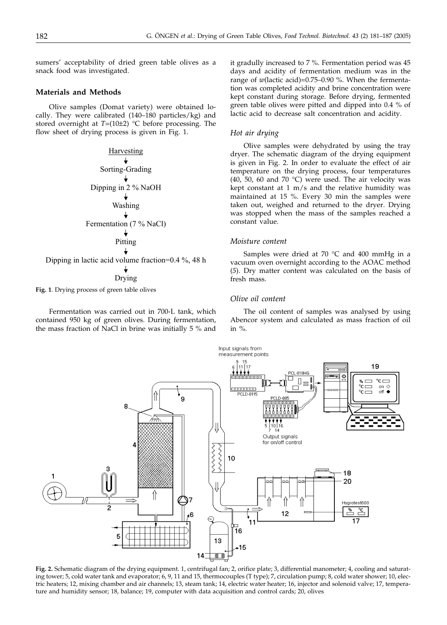sumers' acceptability of dried green table olives as a snack food was investigated.

# **Materials and Methods**

Olive samples (Domat variety) were obtained locally. They were calibrated (140–180 particles/kg) and stored overnight at *T*=(10±2) °C before processing. The flow sheet of drying process is given in Fig. 1.

Harvesting Sorting-Grading Dipping in 2 % NaOH Washing Fermentation (7 % NaCl) Pitting Dipping in lactic acid volume fraction=0.4 %, 48 h

Drying

**Fig. 1**. Drying process of green table olives

Fermentation was carried out in 700-L tank, which contained 950 kg of green olives. During fermentation, the mass fraction of NaCl in brine was initially 5 % and

it gradully increased to 7 %. Fermentation period was 45 days and acidity of fermentation medium was in the range of *w*(lactic acid)=0.75–0.90 %. When the fermentation was completed acidity and brine concentration were kept constant during storage. Before drying, fermented green table olives were pitted and dipped into 0.4 % of lactic acid to decrease salt concentration and acidity.

# *Hot air drying*

Olive samples were dehydrated by using the tray dryer. The schematic diagram of the drying equipment is given in Fig. 2. In order to evaluate the effect of air temperature on the drying process, four temperatures (40, 50, 60 and 70 °C) were used. The air velocity was kept constant at 1 m/s and the relative humidity was maintained at 15 %. Every 30 min the samples were taken out, weighed and returned to the dryer. Drying was stopped when the mass of the samples reached a constant value.

#### *Moisture content*

Samples were dried at 70 °C and 400 mmHg in a vacuum oven overnight according to the AOAC method (*5*). Dry matter content was calculated on the basis of fresh mass.

#### *Olive oil content*

The oil content of samples was analysed by using Abencor system and calculated as mass fraction of oil in %.



**Fig. 2.** Schematic diagram of the drying equipment. 1, centrifugal fan; 2, orifice plate; 3, differential manometer; 4, cooling and saturating tower; 5, cold water tank and evaporator; 6, 9, 11 and 15, thermocouples (T type); 7, circulation pump; 8, cold water shower; 10, electric heaters; 12, mixing chamber and air channels; 13, steam tank; 14, electric water heater; 16, injector and solenoid valve; 17, temperature and humidity sensor; 18, balance; 19, computer with data acquisition and control cards; 20, olives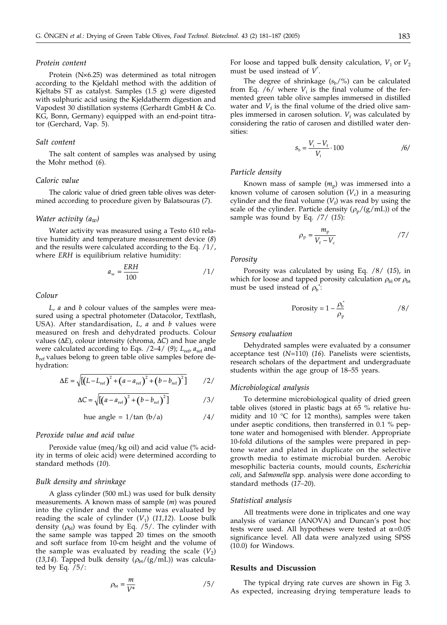# *Protein content*

Protein (N×6.25) was determined as total nitrogen according to the Kjeldahl method with the addition of Kjeltabs ST as catalyst. Samples (1.5 g) were digested with sulphuric acid using the Kjeldatherm digestion and Vapodest 30 distillation systems (Gerhardt GmbH & Co. KG, Bonn, Germany) equipped with an end-point titrator (Gerchard, Vap. 5).

# *Salt content*

The salt content of samples was analysed by using the Mohr method (*6*).

#### *Caloric value*

The caloric value of dried green table olives was determined according to procedure given by Balatsouras (*7*).

# *Water activity (aw)*

Water activity was measured using a Testo 610 relative humidity and temperature measurement device (*8*) and the results were calculated according to the Eq. /1/, where *ERH* is equilibrium relative humidity:

$$
a_{\rm w} = \frac{ERH}{100} \tag{1/}
$$

#### *Colour*

*L*, *a* and *b* colour values of the samples were measured using a spectral photometer (Datacolor, Textflash, USA). After standardisation, *L*, *a* and *b* values were measured on fresh and dehydrated products. Colour values  $(\Delta E)$ , colour intensity (chroma,  $\Delta C$ ) and hue angle were calculated according to Eqs. /2–4/ (9);  $L_{ref}$ ,  $a_{ref}$  and *b*ref values belong to green table olive samples before dehydration:

$$
\Delta E = \sqrt{\left[ \left( L - L_{\rm ref} \right)^2 + \left( a - a_{\rm ref} \right)^2 + \left( b - b_{\rm ref} \right)^2 \right]} \qquad /2 /
$$

$$
\Delta C = \sqrt{\left[ \left( a - a_{\text{ref}} \right)^2 + \left( b - b_{\text{ref}} \right)^2 \right]}
$$
 / 3/

have angle = 
$$
1/\tan(b/a)
$$

\n $\frac{1}{4}$ 

# *Peroxide value and acid value*

Peroxide value (meq/kg oil) and acid value (% acidity in terms of oleic acid) were determined according to standard methods (*10*).

### *Bulk density and shrinkage*

A glass cylinder (500 mL) was used for bulk density measurements. A known mass of sample (*m*) was poured into the cylinder and the volume was evaluated by reading the scale of cylinder  $(V_1)$  (11,12). Loose bulk density  $(\rho_{bl})$  was found by Eq. /5/. The cylinder with the same sample was tapped 20 times on the smooth and soft surface from 10-cm height and the volume of the sample was evaluated by reading the scale  $(V_2)$ (13,14). Tapped bulk density  $(\rho_{bt}/(g/mL))$  was calculated by Eq.  $/5$ :

$$
\rho_{\rm bt} = \frac{m}{V^*} \tag{5/}
$$

For loose and tapped bulk density calculation,  $V_1$  or  $V_2$ must be used instead of *V*\* .

The degree of shrinkage  $(s_b/\%)$  can be calculated from Eq.  $/6/$  where  $V_i$  is the final volume of the fermented green table olive samples immersed in distilled water and  $V_f$  is the final volume of the dried olive samples immersed in carosen solution.  $V_f$  was calculated by considering the ratio of carosen and distilled water densities:

$$
S_{\rm b} = \frac{V_{\rm i} - V_{\rm f}}{V_{\rm i}} \cdot 100 \tag{6}
$$

# *Particle density*

Known mass of sample  $(m_p)$  was immersed into a known volume of carosen solution  $(V_c)$  in a measuring cylinder and the final volume  $(V_f)$  was read by using the scale of the cylinder. Particle density  $(\rho_p/(g/mL))$  of the sample was found by Eq. /7/ (*15*):

$$
\rho_{\rm p} = \frac{m_{\rm p}}{V_{\rm f} - V_{\rm c}} \tag{7}
$$

#### *Porosity*

Porosity was calculated by using Eq. /8/ (*15*), in which for loose and tapped porosity calculation  $\rho_{bl}$  or  $\rho_{bt}$ must be used instead of  $\rho_b^*$ :

$$
Porosity = 1 - \frac{\rho_b^*}{\rho_p} \tag{8/}
$$

#### *Sensory evaluation*

Dehydrated samples were evaluated by a consumer acceptance test (*N*=110) (*16*). Panelists were scientists, research scholars of the department and undergraduate students within the age group of 18–55 years.

# *Microbiological analysis*

To determine microbiological quality of dried green table olives (stored in plastic bags at 65 % relative humidity and 10  $\degree$ C for 12 months), samples were taken under aseptic conditions, then transferred in 0.1 % peptone water and homogenised with blender. Appropriate 10-fold dilutions of the samples were prepared in peptone water and plated in duplicate on the selective growth media to estimate microbial burden. Aerobic mesophilic bacteria counts, mould counts, *Escherichia coli*, and *Salmonella* spp. analysis were done according to standard methods (*17–20*).

#### *Statistical analysis*

All treatments were done in triplicates and one way analysis of variance (ANOVA) and Duncan's post hoc tests were used. All hypotheses were tested at  $\alpha$ =0.05 significance level. All data were analyzed using SPSS (10.0) for Windows.

#### **Results and Discussion**

The typical drying rate curves are shown in Fig 3. As expected, increasing drying temperature leads to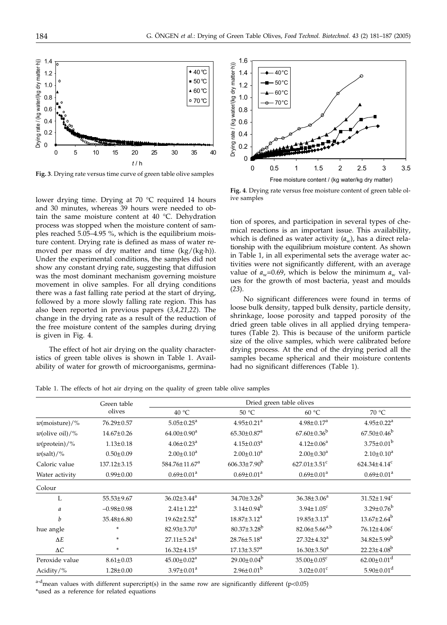

**Fig. 3**. Drying rate versus time curve of green table olive samples

lower drying time. Drying at 70 °C required 14 hours and 30 minutes, whereas 39 hours were needed to obtain the same moisture content at 40 °C. Dehydration process was stopped when the moisture content of samples reached 5.05–4.95 %, which is the equilibrium moisture content. Drying rate is defined as mass of water removed per mass of dry matter and time (kg/(kg·h)). Under the experimental conditions, the samples did not show any constant drying rate, suggesting that diffusion was the most dominant mechanism governing moisture movement in olive samples. For all drying conditions there was a fast falling rate period at the start of drying, followed by a more slowly falling rate region. This has also been reported in previous papers (*3,4,21,22*). The change in the drying rate as a result of the reduction of the free moisture content of the samples during drying is given in Fig. 4.

The effect of hot air drying on the quality characteristics of green table olives is shown in Table 1. Availability of water for growth of microorganisms, germina-



**Fig. 4**. Drying rate versus free moisture content of green table olive samples

tion of spores, and participation in several types of chemical reactions is an important issue. This availability, which is defined as water activity  $(a_w)$ , has a direct relationship with the equilibrium moisture content. As shown in Table 1, in all experimental sets the average water activities were not significantly different, with an average value of  $a_w$ =0.69, which is below the minimum  $a_w$  values for the growth of most bacteria, yeast and moulds (*23*).

No significant differences were found in terms of loose bulk density, tapped bulk density, particle density, shrinkage, loose porosity and tapped porosity of the dried green table olives in all applied drying temperatures (Table 2). This is because of the uniform particle size of the olive samples, which were calibrated before drying process. At the end of the drying period all the samples became spherical and their moisture contents had no significant differences (Table 1).

Table 1. The effects of hot air drying on the quality of green table olive samples

|                        | Green table       | Dried green table olives      |                               |                                |                                |  |  |
|------------------------|-------------------|-------------------------------|-------------------------------|--------------------------------|--------------------------------|--|--|
|                        | olives            | 40 °C                         | 50 °C                         | 60 °C                          | 70 °C                          |  |  |
| $w(moisture)/\%$       | 76.29±0.57        | $5.05 \pm 0.25^a$             | $4.95 \pm 0.21$ <sup>a</sup>  | $4.98 \pm 0.17^a$              | $4.95 \pm 0.22^a$              |  |  |
| $w$ (olive oil)/%      | $14.67 \pm 0.26$  | $64.00 \pm 0.90^a$            | $65.30 \pm 0.87$ <sup>a</sup> | $67.60 \pm 0.36^b$             | $67.50 \pm 0.46^b$             |  |  |
| $w(\text{protein})/\%$ | $1.13 \pm 0.18$   | $4.06 \pm 0.23$ <sup>a</sup>  | $4.15 \pm 0.03^a$             | $4.12 \pm 0.06^a$              | $3.75 \pm 0.01^b$              |  |  |
| $w(salt)/\%$           | $0.50 \pm 0.09$   | $2.00 \pm 0.10^a$             | $2.00 \pm 0.10^a$             | $2.00 \pm 0.30^a$              | $2.10 \pm 0.10^a$              |  |  |
| Caloric value          | $137.12 \pm 3.15$ | $584.76 \pm 11.67^a$          | $606.33 \pm 7.90^b$           | $627.01 \pm 3.51$ <sup>c</sup> | $624.34 \pm 4.14$ <sup>c</sup> |  |  |
| Water activity         | $0.99 \pm 0.00$   | $0.69 \pm 0.01^a$             | $0.69 \pm 0.01^a$             | $0.69 \pm 0.01^a$              | $0.69 \pm 0.01^a$              |  |  |
| Colour                 |                   |                               |                               |                                |                                |  |  |
| L                      | 55.53±9.67        | $36.02 \pm 3.44^a$            | $34.70 \pm 3.26^b$            | $36.38 \pm 3.06^a$             | $31.52 \pm 1.94$ <sup>c</sup>  |  |  |
| a                      | $-0.98 \pm 0.98$  | $2.41 \pm 1.22$ <sup>a</sup>  | $3.14 \pm 0.94^b$             | $3.94 \pm 1.05$ <sup>c</sup>   | $3.29 \pm 0.76^b$              |  |  |
| $\boldsymbol{b}$       | 35.48±6.80        | $19.62 \pm 2.52^a$            | $18.87 \pm 3.12^a$            | $19.85 \pm 3.13^a$             | $13.67 \pm 2.64^b$             |  |  |
| hue angle              | ÷                 | $82.93 \pm 3.70^a$            | $80.37 \pm 3.28^b$            | $82.06 \pm 5.66^{a,b}$         | $76.12 \pm 4.06$ <sup>c</sup>  |  |  |
| $\Delta E$             | ÷                 | $27.11 \pm 5.24$ <sup>a</sup> | $28.76 \pm 5.18^a$            | $27.32 \pm 4.32^a$             | $34.82{\pm}5.99^{\rm b}$       |  |  |
| $\Delta C$             | ÷                 | $16.32 \pm 4.15^a$            | $17.13 \pm 3.57$ <sup>a</sup> | $16.30 \pm 3.50^a$             | $22.23 \pm 4.08^b$             |  |  |
| Peroxide value         | $8.61 \pm 0.03$   | $45.00 \pm 0.02^a$            | $29.00 \pm 0.04^b$            | $35.00 \pm 0.05$ <sup>c</sup>  | $62.00 \pm 0.01$ <sup>d</sup>  |  |  |
| Acidity/ $%$           | $1.28 \pm 0.00$   | $3.97 \pm 0.01^a$             | $2.96 \pm 0.01^b$             | $3.02 \pm 0.01$ <sup>c</sup>   | $5.90 \pm 0.01$ <sup>d</sup>   |  |  |
|                        |                   |                               |                               |                                |                                |  |  |

 $a-d$  mean values with different supercript(s) in the same row are significantly different (p<0.05) \*used as a reference for related equations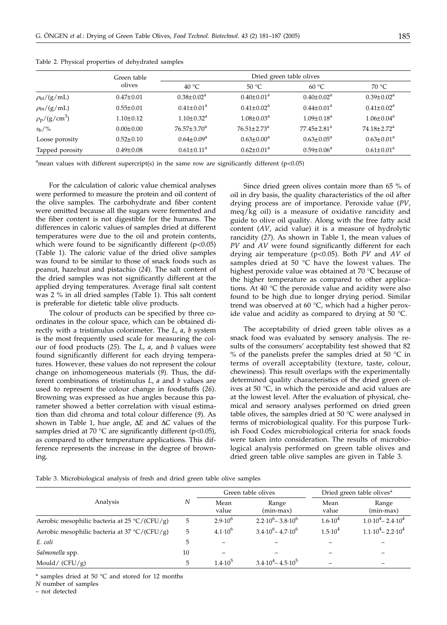|                               | Green table     | Dried green table olives     |                               |                               |                    |  |  |
|-------------------------------|-----------------|------------------------------|-------------------------------|-------------------------------|--------------------|--|--|
|                               | olives          | 40 $\degree$ C               | 50 °C                         | $60^{\circ}$ C                | 70 °C              |  |  |
| $\rho_{bl}/(g/mL)$            | $0.47 \pm 0.01$ | $0.38 \pm 0.02^a$            | $0.40 \pm 0.01^a$             | $0.40 \pm 0.02^a$             | $0.39 \pm 0.02^a$  |  |  |
| $\rho_{bt}/(g/mL)$            | $0.55 \pm 0.01$ | $0.41 \pm 0.01^a$            | $0.41 \pm 0.02^a$             | $0.44 \pm 0.01^a$             | $0.41 \pm 0.02^a$  |  |  |
| $\rho_{\rm p}/({\rm g/cm}^3)$ | $1.10 \pm 0.12$ | $1.10 \pm 0.32$ <sup>a</sup> | $1.08 \pm 0.03^{\text{a}}$    | $1.09 \pm 0.18^a$             | $1.06 \pm 0.04^a$  |  |  |
| $s_h/\%$                      | $0.00 \pm 0.00$ | $76.57 \pm 3.70^a$           | $76.51 \pm 2.73$ <sup>a</sup> | $77.45 \pm 2.81$ <sup>a</sup> | $74.18 \pm 2.72^a$ |  |  |
| Loose porosity                | $0.52 \pm 0.10$ | $0.64 \pm 0.09^{\rm a}$      | $0.63 \pm 0.00^a$             | $0.63 \pm 0.05^{\text{a}}$    | $0.63 \pm 0.01^a$  |  |  |
| Tapped porosity               | $0.49 \pm 0.08$ | $0.61 \pm 0.11^a$            | $0.62 \pm 0.01^a$             | $0.59 \pm 0.06^a$             | $0.61 \pm 0.01^a$  |  |  |

Table 2. Physical properties of dehydrated samples

<sup>a</sup>mean values with different supercript(s) in the same row are significantly different (p<0.05)

For the calculation of caloric value chemical analyses were performed to measure the protein and oil content of the olive samples. The carbohydrate and fiber content were omitted because all the sugars were fermented and the fiber content is not digestible for the humans. The differences in caloric values of samples dried at different temperatures were due to the oil and protein contents, which were found to be significantly different  $(p<0.05)$ (Table 1). The caloric value of the dried olive samples was found to be similar to those of snack foods such as peanut, hazelnut and pistachio (*24*). The salt content of the dried samples was not significantly different at the applied drying temperatures. Average final salt content was 2 % in all dried samples (Table 1). This salt content is preferable for dietetic table olive products.

The colour of products can be specified by three coordinates in the colour space, which can be obtained directly with a tristimulus colorimeter. The *L*, *a*, *b* system is the most frequently used scale for measuring the colour of food products (*25*). The *L*, *a*, and *b* values were found significantly different for each drying temperatures. However, these values do not represent the colour change on inhomogeneous materials (*9*). Thus, the different combinations of tristimulus *L*, *a* and *b* values are used to represent the colour change in foodstuffs (*26*). Browning was expressed as hue angles because this parameter showed a better correlation with visual estimation than did chroma and total colour difference (*9*). As shown in Table 1, hue angle,  $\Delta E$  and  $\Delta C$  values of the samples dried at 70 °C are significantly different ( $p$ <0.05), as compared to other temperature applications. This difference represents the increase in the degree of browning.

Since dried green olives contain more than 65 % of oil in dry basis, the quality characteristics of the oil after drying process are of importance. Peroxide value (*PV*, meq/kg oil) is a measure of oxidative rancidity and guide to olive oil quality. Along with the free fatty acid content (*AV*, acid value) it is a measure of hydrolytic rancidity (*27*). As shown in Table 1, the mean values of *PV* and *AV* were found significantly different for each drying air temperature (p<0.05). Both *PV* and *AV* of samples dried at 50 °C have the lowest values. The highest peroxide value was obtained at 70 °C because of the higher temperature as compared to other applications. At 40 °C the peroxide value and acidity were also found to be high due to longer drying period. Similar trend was observed at 60 °C, which had a higher peroxide value and acidity as compared to drying at 50 °C.

The acceptability of dried green table olives as a snack food was evaluated by sensory analysis. The results of the consumers' acceptability test showed that 82 % of the panelists prefer the samples dried at 50  $^{\circ}$ C in terms of overall acceptability (texture, taste, colour, chewiness). This result overlaps with the experimentally determined quality characteristics of the dried green olives at 50 °C, in which the peroxide and acid values are at the lowest level. After the evaluation of physical, chemical and sensory analyses performed on dried green table olives, the samples dried at 50  $\degree$ C were analysed in terms of microbiological quality. For this purpose Turkish Food Codex microbiological criteria for snack foods were taken into consideration. The results of microbiological analysis performed on green table olives and dried green table olive samples are given in Table 3.

Table 3. Microbiological analysis of fresh and dried green table olive samples

|                                                         |    | Green table olives |                                       | Dried green table olives* |                                   |
|---------------------------------------------------------|----|--------------------|---------------------------------------|---------------------------|-----------------------------------|
| Analysis                                                | Ν  | Mean<br>value      | Range<br>$(min-max)$                  | Mean<br>value             | Range<br>$(min-max)$              |
| Aerobic mesophilic bacteria at 25 $\rm{C}/\rm{(CFU/g)}$ | 5  | $2.9 \cdot 10^{6}$ | $2.2 \cdot 10^6 - 3.8 \cdot 10^6$     | $1.6 \cdot 10^{4}$        | $1.0 \cdot 10^4 - 2.4 \cdot 10^4$ |
| Aerobic mesophilic bacteria at $37 \degree C / (CFU/g)$ | 5  | $4.1 \cdot 10^{6}$ | $3.4 \cdot 10^{6} - 4.7 \cdot 10^{6}$ | $1.5 \cdot 10^{4}$        | $1.1 \cdot 10^4 - 2.2 \cdot 10^4$ |
| E. coli                                                 | 5  |                    |                                       |                           |                                   |
| Salmonella spp.                                         | 10 |                    |                                       |                           |                                   |
| Mould/ $(CFU/g)$                                        | 5  | $1.4 \cdot 10^{5}$ | $3.4 \cdot 10^4 - 4.5 \cdot 10^5$     |                           |                                   |

\* samples dried at 50 °C and stored for 12 months

*N* number of samples

– not detected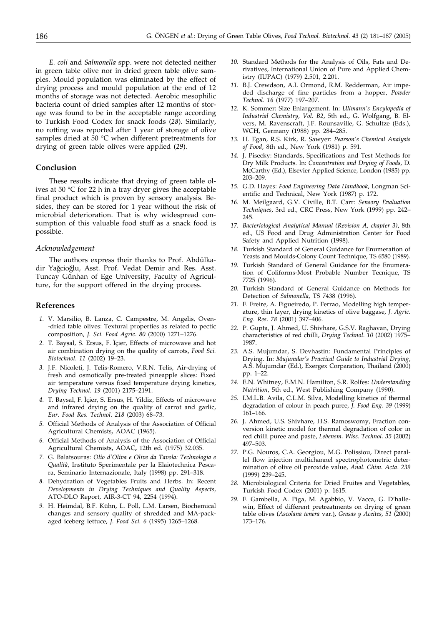*E. coli* and *Salmonella* spp. were not detected neither in green table olive nor in dried green table olive samples. Mould population was eliminated by the effect of drying process and mould population at the end of 12 months of storage was not detected. Aerobic mesophilic bacteria count of dried samples after 12 months of storage was found to be in the acceptable range according to Turkish Food Codex for snack foods (*28*). Similarly, no rotting was reported after 1 year of storage of olive samples dried at 50 °C when different pretreatments for drying of green table olives were applied (*29*).

# **Conclusion**

These results indicate that drying of green table olives at 50 °C for 22 h in a tray dryer gives the acceptable final product which is proven by sensory analysis. Besides, they can be stored for 1 year without the risk of microbial deterioration. That is why widespread consumption of this valuable food stuff as a snack food is possible.

# *Acknowledgement*

The authors express their thanks to Prof. Abdülkadir Yağcioğlu, Asst. Prof. Vedat Demir and Res. Asst. Tuncay Günhan of Ege University, Faculty of Agriculture, for the support offered in the drying process.

### **References**

- *1.* V. Marsilio, B. Lanza, C. Campestre, M. Angelis, Oven- -dried table olives: Textural properties as related to pectic composition, *J. Sci. Food Agric*. *80* (2000) 1271–1276.
- 2. T. Baysal, S. Ersus, F. Içier, Effects of microwave and hot air combination drying on the quality of carrots, *Food Sci. Biotechnol*. *11* (2002) 19–23.
- *3.* J.F. Nicoleti, J. Telis-Romero, V.R.N. Telis, Air-drying of fresh and osmotically pre-treated pineapple slices: Fixed air temperature versus fixed temperature drying kinetics, *Drying Technol. 19* (2001) 2175–2191.
- 4. T. Baysal, F. Içier, S. Ersus, H. Yildiz, Effects of microwave and infrared drying on the quality of carrot and garlic, *Eur. Food Res. Technol*. *218* (2003) 68–73.
- *5.* Official Methods of Analysis of the Association of Official Agricultural Chemists*,* AOAC (1965).
- *6.* Official Methods of Analysis of the Association of Official Agricultural Chemists**,** AOAC**,** 12th ed**.** (1975) 32.035.
- *7.* G. Balatsouras: *Olio d'Oliva e Olive da Tavola: Technologia e Qualità*, Instituto Sperimentale per la Elaiotechnica Pescara, Seminario Internazionale, Italy (1998) pp. 291–318.
- *8.* Dehydration of Vegetables Fruits and Herbs. In: Recent *Developments in Drying Techniques and Quality Aspects*, ATO-DLO Report, AIR-3-CT 94, 2254 (1994).
- *9.* H. Heimdal, B.F. Kühn, L. Poll, L.M. Larsen, Biochemical changes and sensory quality of shredded and MA-packaged iceberg lettuce, *J. Food Sci. 6* (1995) 1265–1268.
- *10.* Standard Methods for the Analysis of Oils, Fats and Derivatives, International Union of Pure and Applied Chemistry (IUPAC) (1979) 2.501, 2.201.
- *11.* B.J. Crewdson, A.L Ormond, R.M. Redderman, Air impeded discharge of fine particles from a hopper, *Powder Technol. 16* (1977) 197–207.
- *12.* K. Sommer: Size Enlargement. In: *Ullmann's Encylopedia of Industrial Chemistry, Vol. B2*, 5th ed., G. Wolfgang, B. Elvers, M. Ravenscraft, J.F. Rounsaville, G. Schultze (Eds.), WCH, Germany (1988) pp. 284–285.
- *13.* H. Egan, R.S. Kirk, R. Sawyer: *Pearson's Chemical Analysis of Food*, 8th ed., New York (1981) p. 591.
- *14.* J. Pisecky: Standards, Specifications and Test Methods for Dry Milk Products. In: *Concentration and Drying of Foods*, D. McCarthy (Ed.), Elsevier Applied Science, London (1985) pp. 203–209.
- *15.* G.D. Hayes: *Food Engineering Data Handbook*, Longman Scientific and Technical, New York (1987) p. 172.
- *16.* M. Meilgaard, G.V. Civille, B.T. Carr: *Sensory Evaluation Techniques*, 3rd ed., CRC Press, New York (1999) pp. 242– 245.
- *17. Bacteriological Analytical Manual (Revision A, chapter 3)*, 8th ed., US Food and Drug Administration Center for Food Safety and Applied Nutrition (1998).
- *18.* Turkish Standard of General Guidance for Enumeration of Yeasts and Moulds-Colony Count Technique, TS 6580 (1989).
- *19.* Turkish Standard of General Guidance for the Enumeration of Coliforms-Most Probable Number Tecnique, TS 7725 (1996).
- *20.* Turkish Standard of General Guidance on Methods for Detection of *Salmonella*, TS 7438 (1996).
- *21.* F. Freire, A. Figueiredo, P. Ferrao, Modelling high temperature, thin layer, drying kinetics of olive baggase, *J. Agric. Eng. Res*. *78* (2001) 397–406.
- *22.* P. Gupta, J. Ahmed, U. Shivhare, G.S.V. Raghavan, Drying characteristics of red chilli, *Drying Technol. 10* (2002) 1975– 1987.
- *23.* A.S. Mujumdar, S. Devhastin: Fundamental Principles of Drying. In: *Mujumdar's Practical Guide to Industrial Drying*, A.S. Mujumdar (Ed.), Exergex Corparation, Thailand (2000) pp. 1–22.
- *24.* E.N. Whitney, E.M.N. Hamilton, S.R. Rolfes: *Understanding Nutrition*, 5th ed., West Publishing Company (1990).
- *25.* I.M.L.B. Avila, C.L.M. Silva, Modelling kinetics of thermal degradation of colour in peach puree, *J. Food Eng. 39* (1999)  $161 - 166$ .
- *26.* J. Ahmed, U.S. Shivhare, H.S. Ramoswomy, Fraction conversion kinetic model for thermal degradation of color in red chilli puree and paste, *Lebensm. Wiss. Technol. 35* (2002) 497–503.
- *27.* P.G. Nouros, C.A. Georgiou, M.G. Polissiou, Direct parallel flow injection multichannel spectrophotometric determination of olive oil peroxide value, *Anal. Chim. Acta*. *239* (1999) 239–245**.**
- *28.* Microbiological Criteria for Dried Fruites and Vegetables, Turkish Food Codex (2001) p. 1615.
- *29.* F. Gambella, A. Piga, M. Agabbio, V. Vacca, G. D'hallewin, Effect of different pretreatments on drying of green table olives (*Ascolana tenera* var.)**,** *Grasas y Aceites, 51* (2000) 173–176.